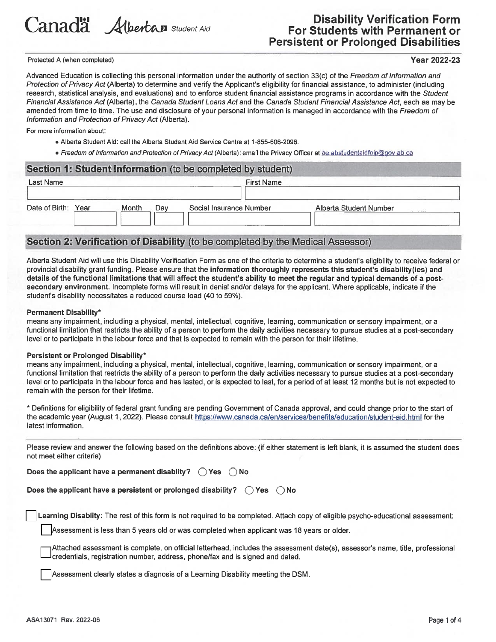

# **Disability Verification Form For Students with Permanent or Persistent or Prolonged Disabilities**

Protected A (when completed)

### **Year 2022-23**

Advanced Education is collecting this personal information under the authority of section 33(c) of the Freedom of Information and Protection of Privacy Act (Alberta) to determine and verify the Applicant's eligibility for financial assistance, to administer (including research, statistical analysis, and evaluations) and to enforce student financial assistance programs in accordance with the Student Financial Assistance Act (Alberta), the Canada Student Loans Act and the Canada Student Financial Assistance Act, each as may be amended from time to time. The use and disclosure of your personal information is managed in accordance with the Freedom of Information and Protection of Privacy Act (Alberta).

For more information about:

- . Alberta Student Aid: call the Alberta Student Aid Service Centre at 1-855-606-2096.
- · Freedom of Information and Protection of Privacy Act (Alberta): email the Privacy Officer at ae abstudentaidfoip@gov.ab.ca

| Last Name              |              | <b>First Name</b>       |                        |
|------------------------|--------------|-------------------------|------------------------|
| Date of Birth:<br>Year | Month<br>Dav | Social Insurance Number | Alberta Student Number |

## Section 2: Verification of Disability (to be completed by the Medical Assessor)

Alberta Student Aid will use this Disability Verification Form as one of the criteria to determine a student's eligibility to receive federal or provincial disability grant funding. Please ensure that the information thoroughly represents this student's disability (ies) and details of the functional limitations that will affect the student's ability to meet the regular and typical demands of a postsecondary environment. Incomplete forms will result in denial and/or delays for the applicant. Where applicable, indicate if the student's disability necessitates a reduced course load (40 to 59%).

#### **Permanent Disability\***

means any impairment, including a physical, mental, intellectual, cognitive, learning, communication or sensory impairment, or a functional limitation that restricts the ability of a person to perform the daily activities necessary to pursue studies at a post-secondary level or to participate in the labour force and that is expected to remain with the person for their lifetime.

### Persistent or Prolonged Disability\*

means any impairment, including a physical, mental, intellectual, cognitive, learning, communication or sensory impairment, or a functional limitation that restricts the ability of a person to perform the daily activities necessary to pursue studies at a post-secondary level or to participate in the labour force and has lasted, or is expected to last, for a period of at least 12 months but is not expected to remain with the person for their lifetime.

\* Definitions for eligibility of federal grant funding are pending Government of Canada approval, and could change prior to the start of the academic year (August 1, 2022). Please consult https://www.canada.ca/en/services/benefits/education/student-aid.html for the latest information.

Please review and answer the following based on the definitions above: (if either statement is left blank, it is assumed the student does not meet either criteria)

Does the applicant have a permanent disablity?  $\bigcirc$  Yes  $\bigcirc$  No

| Does the applicant have a persistent or prolonged disability? $\bigcirc$ Yes $\bigcirc$ No |  |  |  |
|--------------------------------------------------------------------------------------------|--|--|--|
|--------------------------------------------------------------------------------------------|--|--|--|

Learning Disablity: The rest of this form is not required to be completed. Attach copy of eligible psycho-educational assessment:

Assessment is less than 5 years old or was completed when applicant was 18 years or older.

Attached assessment is complete, on official letterhead, includes the assessment date(s), assessor's name, title, professional credentials, registration number, address, phone/fax and is signed and dated.

Assessment clearly states a diagnosis of a Learning Disability meeting the DSM.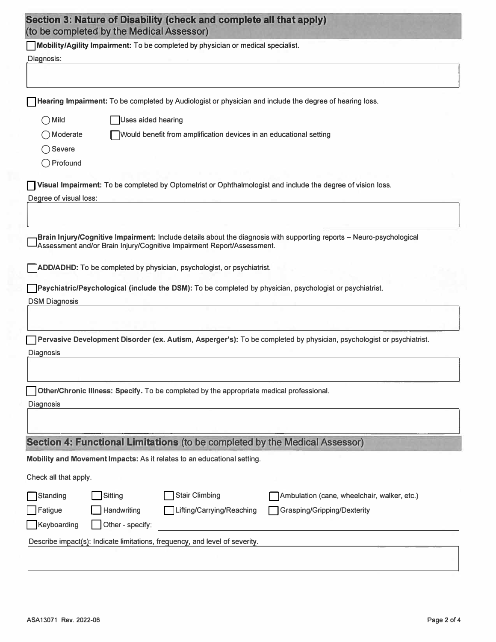|                        | Section 3: Nature of Disability (check and complete all that apply)<br>(to be completed by the Medical Assessor)                                                                               |
|------------------------|------------------------------------------------------------------------------------------------------------------------------------------------------------------------------------------------|
|                        | Mobility/Agility Impairment: To be completed by physician or medical specialist.                                                                                                               |
| Diagnosis:             |                                                                                                                                                                                                |
|                        |                                                                                                                                                                                                |
|                        | Hearing Impairment: To be completed by Audiologist or physician and include the degree of hearing loss.                                                                                        |
| $\bigcirc$ Mild        | Uses aided hearing                                                                                                                                                                             |
| OModerate              | Would benefit from amplification devices in an educational setting                                                                                                                             |
| $\bigcap$ Severe       |                                                                                                                                                                                                |
| $\bigcap$ Profound     |                                                                                                                                                                                                |
|                        | Visual Impairment: To be completed by Optometrist or Ophthalmologist and include the degree of vision loss.                                                                                    |
| Degree of visual loss: |                                                                                                                                                                                                |
|                        | Brain Injury/Cognitive Impairment: Include details about the diagnosis with supporting reports - Neuro-psychological<br>Assessment and/or Brain Injury/Cognitive Impairment Report/Assessment. |
|                        | ADD/ADHD: To be completed by physician, psychologist, or psychiatrist.                                                                                                                         |
|                        | Psychiatric/Psychological (include the DSM): To be completed by physician, psychologist or psychiatrist.                                                                                       |
| <b>DSM Diagnosis</b>   |                                                                                                                                                                                                |
|                        |                                                                                                                                                                                                |
|                        | Pervasive Development Disorder (ex. Autism, Asperger's): To be completed by physician, psychologist or psychiatrist.                                                                           |
| Diagnosis              |                                                                                                                                                                                                |
|                        |                                                                                                                                                                                                |
|                        |                                                                                                                                                                                                |
|                        | Other/Chronic Illness: Specify. To be completed by the appropriate medical professional.                                                                                                       |
| Diagnosis              |                                                                                                                                                                                                |
|                        |                                                                                                                                                                                                |
|                        | Section 4: Functional Limitations (to be completed by the Medical Assessor)                                                                                                                    |
|                        | Mobility and Movement Impacts: As it relates to an educational setting.                                                                                                                        |
| Check all that apply.  |                                                                                                                                                                                                |
| Standing               | <b>Stair Climbing</b><br>Sitting<br>Ambulation (cane, wheelchair, walker, etc.)                                                                                                                |
| Fatigue                | Handwriting<br>Grasping/Gripping/Dexterity<br>Lifting/Carrying/Reaching                                                                                                                        |
| Keyboarding            | Other - specify:                                                                                                                                                                               |
|                        | Describe impact(s): Indicate limitations, frequency, and level of severity.                                                                                                                    |
|                        |                                                                                                                                                                                                |
|                        |                                                                                                                                                                                                |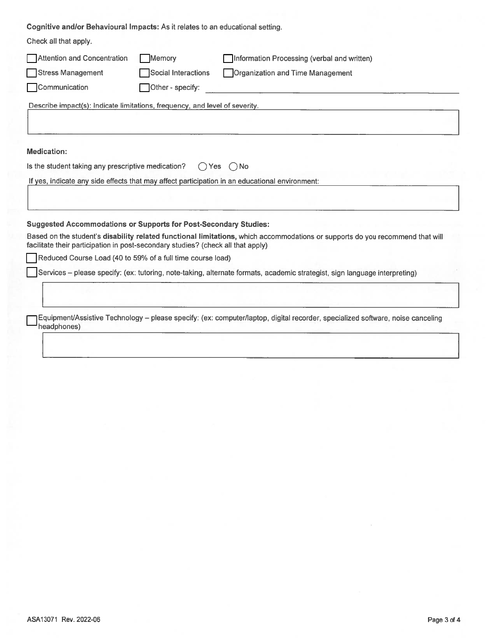Cognitive and/or Behavioural Impacts: As it relates to an educational setting.

| Check all that apply.                                                            |                     |                                                                                                                                |
|----------------------------------------------------------------------------------|---------------------|--------------------------------------------------------------------------------------------------------------------------------|
| Attention and Concentration                                                      | Memory              | Information Processing (verbal and written)                                                                                    |
| <b>Stress Management</b>                                                         | Social Interactions | Organization and Time Management                                                                                               |
| Communication                                                                    | Other - specify:    |                                                                                                                                |
| Describe impact(s): Indicate limitations, frequency, and level of severity.      |                     |                                                                                                                                |
|                                                                                  |                     |                                                                                                                                |
|                                                                                  |                     |                                                                                                                                |
| Medication:                                                                      |                     |                                                                                                                                |
| Is the student taking any prescriptive medication?                               | ()Yes               | ()No                                                                                                                           |
|                                                                                  |                     | If yes, indicate any side effects that may affect participation in an educational environment:                                 |
|                                                                                  |                     |                                                                                                                                |
|                                                                                  |                     |                                                                                                                                |
| <b>Suggested Accommodations or Supports for Post-Secondary Studies:</b>          |                     |                                                                                                                                |
| facilitate their participation in post-secondary studies? (check all that apply) |                     | Based on the student's disability related functional limitations, which accommodations or supports do you recommend that will  |
| Reduced Course Load (40 to 59% of a full time course load)                       |                     |                                                                                                                                |
|                                                                                  |                     | Services – please specify: (ex: tutoring, note-taking, alternate formats, academic strategist, sign language interpreting)     |
|                                                                                  |                     |                                                                                                                                |
|                                                                                  |                     |                                                                                                                                |
| headphones)                                                                      |                     | Equipment/Assistive Technology – please specify: (ex: computer/laptop, digital recorder, specialized software, noise canceling |
|                                                                                  |                     |                                                                                                                                |
|                                                                                  |                     |                                                                                                                                |
|                                                                                  |                     |                                                                                                                                |